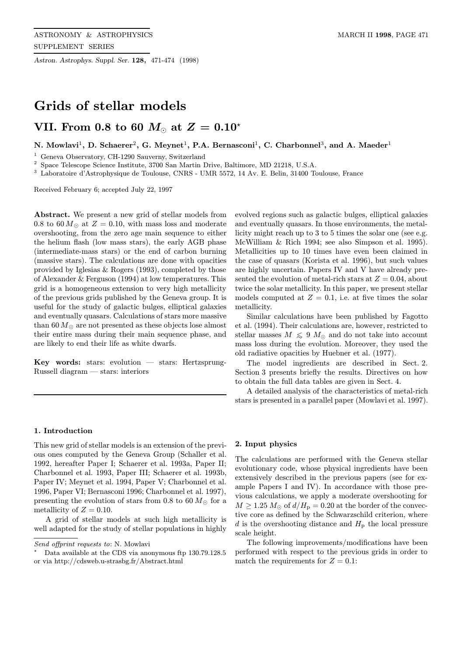Astron. Astrophys. Suppl. Ser. 128, 471-474 (1998)

# Grids of stellar models

# VII. From 0.8 to 60  $M_{\odot}$  at  $Z=0.10^{*}$

## N. Mowlavi<sup>1</sup>, D. Schaerer<sup>2</sup>, G. Meynet<sup>1</sup>, P.A. Bernasconi<sup>1</sup>, C. Charbonnel<sup>3</sup>, and A. Maeder<sup>1</sup>

<sup>1</sup> Geneva Observatory, CH-1290 Sauverny, Switzerland

<sup>2</sup> Space Telescope Science Institute, 3700 San Martin Drive, Baltimore, MD 21218, U.S.A.

<sup>3</sup> Laboratoire d'Astrophysique de Toulouse, CNRS - UMR 5572, 14 Av. E. Belin, 31400 Toulouse, France

Received February 6; accepted July 22, 1997

Abstract. We present a new grid of stellar models from 0.8 to 60  $M_{\odot}$  at  $Z = 0.10$ , with mass loss and moderate overshooting, from the zero age main sequence to either the helium flash (low mass stars), the early AGB phase (intermediate-mass stars) or the end of carbon burning (massive stars). The calculations are done with opacities provided by Iglesias & Rogers (1993), completed by those of Alexander & Ferguson (1994) at low temperatures. This grid is a homogeneous extension to very high metallicity of the previous grids published by the Geneva group. It is useful for the study of galactic bulges, elliptical galaxies and eventually quasars. Calculations of stars more massive than 60  $M_{\odot}$  are not presented as these objects lose almost their entire mass during their main sequence phase, and are likely to end their life as white dwarfs.

Key words: stars: evolution  $-$  stars: Hertzsprung-Russell diagram — stars: interiors

### 1. Introduction

This new grid of stellar models is an extension of the previous ones computed by the Geneva Group (Schaller et al. 1992, hereafter Paper I; Schaerer et al. 1993a, Paper II; Charbonnel et al. 1993, Paper III; Schaerer et al. 1993b, Paper IV; Meynet et al. 1994, Paper V; Charbonnel et al. 1996, Paper VI; Bernasconi 1996; Charbonnel et al. 1997), presenting the evolution of stars from 0.8 to 60  $M_{\odot}$  for a metallicity of  $Z = 0.10$ .

A grid of stellar models at such high metallicity is well adapted for the study of stellar populations in highly

evolved regions such as galactic bulges, elliptical galaxies and eventually quasars. In those environments, the metallicity might reach up to 3 to 5 times the solar one (see e.g. McWilliam & Rich 1994; see also Simpson et al. 1995). Metallicities up to 10 times have even been claimed in the case of quasars (Korista et al. 1996), but such values are highly uncertain. Papers IV and V have already presented the evolution of metal-rich stars at  $Z = 0.04$ , about twice the solar metallicity. In this paper, we present stellar models computed at  $Z = 0.1$ , i.e. at five times the solar metallicity.

Similar calculations have been published by Fagotto et al. (1994). Their calculations are, however, restricted to stellar masses  $M \leq 9$   $M_{\odot}$  and do not take into account mass loss during the evolution. Moreover, they used the old radiative opacities by Huebner et al. (1977).

The model ingredients are described in Sect. 2. Section 3 presents briefly the results. Directives on how to obtain the full data tables are given in Sect. 4.

A detailed analysis of the characteristics of metal-rich stars is presented in a parallel paper (Mowlavi et al. 1997).

#### 2. Input physics

The calculations are performed with the Geneva stellar evolutionary code, whose physical ingredients have been extensively described in the previous papers (see for example Papers I and IV). In accordance with those previous calculations, we apply a moderate overshooting for  $M \geq 1.25 M_{\odot}$  of  $d/H_{\rm p} = 0.20$  at the border of the convective core as defined by the Schwarzschild criterion, where d is the overshooting distance and  $H<sub>p</sub>$  the local pressure scale height.

The following improvements/modifications have been performed with respect to the previous grids in order to match the requirements for  $Z = 0.1$ :

Send offprint requests to: N. Mowlavi

<sup>?</sup> Data available at the CDS via anonymous ftp 130.79.128.5 or via http://cdsweb.u-strasbg.fr/Abstract.html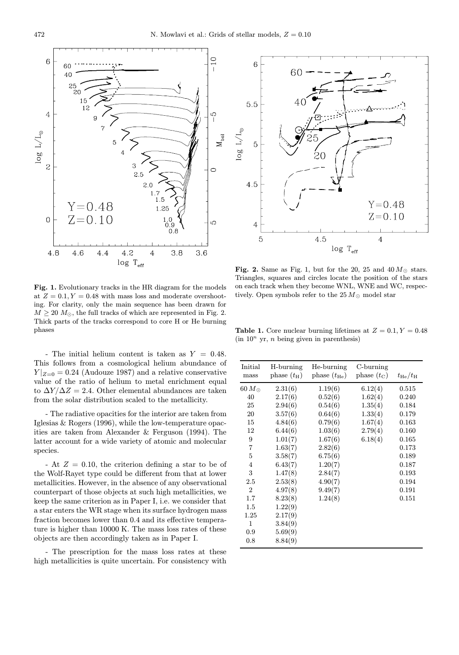

Fig. 1. Evolutionary tracks in the HR diagram for the models at  $Z = 0.1, Y = 0.48$  with mass loss and moderate overshooting. For clarity, only the main sequence has been drawn for  $M \geq 20$   $M_{\odot}$ , the full tracks of which are represented in Fig. 2. Thick parts of the tracks correspond to core H or He burning phases

- The initial helium content is taken as  $Y = 0.48$ . This follows from a cosmological helium abundance of  $Y|_{Z=0} = 0.24$  (Audouze 1987) and a relative conservative value of the ratio of helium to metal enrichment equal to  $\Delta Y / \Delta Z = 2.4$ . Other elemental abundances are taken from the solar distribution scaled to the metallicity.

- The radiative opacities for the interior are taken from Iglesias & Rogers (1996), while the low-temperature opacities are taken from Alexander & Ferguson (1994). The latter account for a wide variety of atomic and molecular species.

- At  $Z = 0.10$ , the criterion defining a star to be of the Wolf-Rayet type could be different from that at lower metallicities. However, in the absence of any observational counterpart of those objects at such high metallicities, we keep the same criterion as in Paper I, i.e. we consider that a star enters the WR stage when its surface hydrogen mass fraction becomes lower than 0.4 and its effective temperature is higher than 10000 K. The mass loss rates of these objects are then accordingly taken as in Paper I.

- The prescription for the mass loss rates at these high metallicities is quite uncertain. For consistency with



Fig. 2. Same as Fig. 1, but for the 20, 25 and  $40 M_{\odot}$  stars. Triangles, squares and circles locate the position of the stars on each track when they become WNL, WNE and WC, respectively. Open symbols refer to the  $25 M_{\odot}$  model star

Table 1. Core nuclear burning lifetimes at  $Z = 0.1, Y = 0.48$  $(in 10<sup>n</sup> yr, n being given in parentheses)$ 

| Initial<br>mass | H-burning<br>phase $(t_{\rm H})$ | He-burning<br>phase $(t_{\text{He}})$ | C-burning<br>phase $(t_C)$ | $t_{\rm He}/t_{\rm H}$ |
|-----------------|----------------------------------|---------------------------------------|----------------------------|------------------------|
| $60\,M_\odot$   | 2.31(6)                          | 1.19(6)                               | 6.12(4)                    | 0.515                  |
| 40              | 2.17(6)                          | 0.52(6)                               | 1.62(4)                    | 0.240                  |
| 25              | 2.94(6)                          | 0.54(6)                               | 1.35(4)                    | 0.184                  |
| 20              | 3.57(6)                          | 0.64(6)                               | 1.33(4)                    | 0.179                  |
| 15              | 4.84(6)                          | 0.79(6)                               | 1.67(4)                    | 0.163                  |
| 12              | 6.44(6)                          | 1.03(6)                               | 2.79(4)                    | 0.160                  |
| 9               | 1.01(7)                          | 1.67(6)                               | 6.18(4)                    | 0.165                  |
| 7               | 1.63(7)                          | 2.82(6)                               |                            | 0.173                  |
| 5               | 3.58(7)                          | 6.75(6)                               |                            | 0.189                  |
| 4               | 6.43(7)                          | 1.20(7)                               |                            | 0.187                  |
| 3               | 1.47(8)                          | 2.84(7)                               |                            | 0.193                  |
| 2.5             | 2.53(8)                          | 4.90(7)                               |                            | 0.194                  |
| $\overline{2}$  | 4.97(8)                          | 9.49(7)                               |                            | 0.191                  |
| 1.7             | 8.23(8)                          | 1.24(8)                               |                            | 0.151                  |
| 1.5             | 1.22(9)                          |                                       |                            |                        |
| 1.25            | 2.17(9)                          |                                       |                            |                        |
| $\mathbf{1}$    | 3.84(9)                          |                                       |                            |                        |
| 0.9             | 5.69(9)                          |                                       |                            |                        |
| 0.8             | 8.84(9)                          |                                       |                            |                        |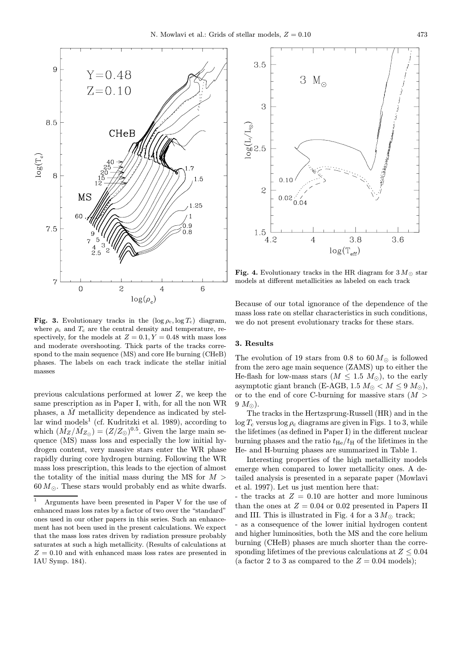

Fig. 3. Evolutionary tracks in the  $(\log \rho_c, \log T_c)$  diagram, where  $\rho_c$  and  $T_c$  are the central density and temperature, respectively, for the models at  $Z = 0.1, Y = 0.48$  with mass loss and moderate overshooting. Thick parts of the tracks correspond to the main sequence (MS) and core He burning (CHeB) phases. The labels on each track indicate the stellar initial masses

previous calculations performed at lower Z, we keep the same prescription as in Paper I, with, for all the non WR phases, a  $M$  metallicity dependence as indicated by stellar wind models<sup>1</sup> (cf. Kudritzki et al. 1989), according to which  $(\dot{M}_Z/\dot{M}_{Z_{\odot}}) = (Z/Z_{\odot})^{0.5}$ . Given the large main sequence (MS) mass loss and especially the low initial hydrogen content, very massive stars enter the WR phase rapidly during core hydrogen burning. Following the WR mass loss prescription, this leads to the ejection of almost the totality of the initial mass during the MS for  $M >$  $60 M_{\odot}$ . These stars would probably end as white dwarfs.



Fig. 4. Evolutionary tracks in the HR diagram for  $3 M_{\odot}$  star models at different metallicities as labeled on each track

Because of our total ignorance of the dependence of the mass loss rate on stellar characteristics in such conditions, we do not present evolutionary tracks for these stars.

#### 3. Results

The evolution of 19 stars from 0.8 to 60  $M_{\odot}$  is followed from the zero age main sequence (ZAMS) up to either the He-flash for low-mass stars  $(M \leq 1.5 M_{\odot})$ , to the early asymptotic giant branch (E-AGB, 1.5  $M_{\odot} < M \leq 9$   $M_{\odot}$ ), or to the end of core C-burning for massive stars  $(M >$  $9 M_{\odot}$ ).

The tracks in the Hertzsprung-Russell (HR) and in the  $\log T_c$  versus  $\log \rho_c$  diagrams are given in Figs. 1 to 3, while the lifetimes (as defined in Paper I) in the different nuclear burning phases and the ratio  $t_{\text{He}}/t_{\text{H}}$  of the lifetimes in the He- and H-burning phases are summarized in Table 1.

Interesting properties of the high metallicity models emerge when compared to lower metallicity ones. A detailed analysis is presented in a separate paper (Mowlavi et al. 1997). Let us just mention here that:

- the tracks at  $Z = 0.10$  are hotter and more luminous than the ones at  $Z = 0.04$  or 0.02 presented in Papers II and III. This is illustrated in Fig. 4 for a  $3 M_{\odot}$  track;

- as a consequence of the lower initial hydrogen content and higher luminosities, both the MS and the core helium burning (CHeB) phases are much shorter than the corresponding lifetimes of the previous calculations at  $Z \leq 0.04$ (a factor 2 to 3 as compared to the  $Z = 0.04$  models);

<sup>1</sup> Arguments have been presented in Paper V for the use of enhanced mass loss rates by a factor of two over the "standard" ones used in our other papers in this series. Such an enhancement has not been used in the present calculations. We expect that the mass loss rates driven by radiation pressure probably saturates at such a high metallicity. (Results of calculations at  $Z = 0.10$  and with enhanced mass loss rates are presented in IAU Symp. 184).